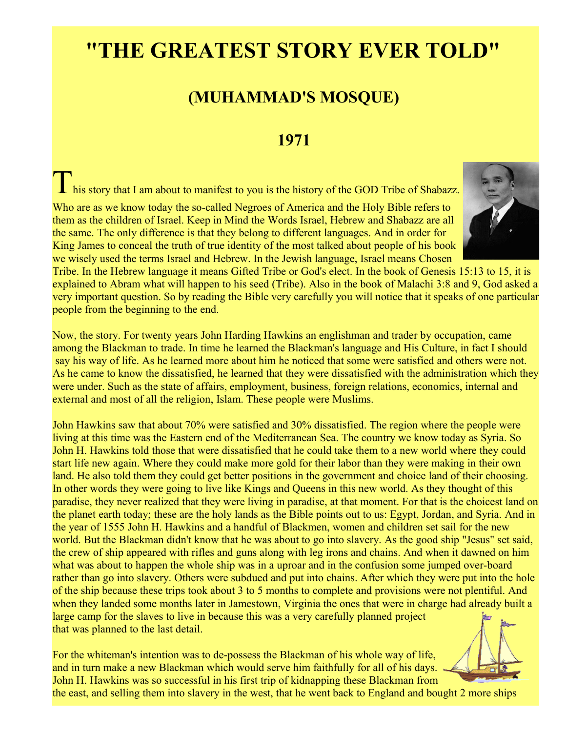## **"THE GREATEST STORY EVER TOLD"**

## **(MUHAMMAD'S MOSQUE)**

## **1971**

This story that I am about to manifest to you is the history of the GOD Tribe of Shabazz. Who are as we know today the so-called Negroes of America and the Holy Bible refers to them as the children of Israel. Keep in Mind the Words Israel, Hebrew and Shabazz are all the same. The only difference is that they belong to different languages. And in order for



Tribe. In the Hebrew language it means Gifted Tribe or God's elect. In the book of Genesis 15:13 to 15, it is explained to Abram what will happen to his seed (Tribe). Also in the book of Malachi 3:8 and 9, God asked a very important question. So by reading the Bible very carefully you will notice that it speaks of one particular people from the beginning to the end.

Now, the story. For twenty years John Harding Hawkins an englishman and trader by occupation, came among the Blackman to trade. In time he learned the Blackman's language and His Culture, in fact I should say his way of life. As he learned more about him he noticed that some were satisfied and others were not. As he came to know the dissatisfied, he learned that they were dissatisfied with the administration which they were under. Such as the state of affairs, employment, business, foreign relations, economics, internal and external and most of all the religion, Islam. These people were Muslims.

John Hawkins saw that about 70% were satisfied and 30% dissatisfied. The region where the people were living at this time was the Eastern end of the Mediterranean Sea. The country we know today as Syria. So John H. Hawkins told those that were dissatisfied that he could take them to a new world where they could start life new again. Where they could make more gold for their labor than they were making in their own land. He also told them they could get better positions in the government and choice land of their choosing. In other words they were going to live like Kings and Queens in this new world. As they thought of this paradise, they never realized that they were living in paradise, at that moment. For that is the choicest land on the planet earth today; these are the holy lands as the Bible points out to us: Egypt, Jordan, and Syria. And in the year of 1555 John H. Hawkins and a handful of Blackmen, women and children set sail for the new world. But the Blackman didn't know that he was about to go into slavery. As the good ship "Jesus" set said, the crew of ship appeared with rifles and guns along with leg irons and chains. And when it dawned on him what was about to happen the whole ship was in a uproar and in the confusion some jumped over-board rather than go into slavery. Others were subdued and put into chains. After which they were put into the hole of the ship because these trips took about 3 to 5 months to complete and provisions were not plentiful. And when they landed some months later in Jamestown, Virginia the ones that were in charge had already built a large camp for the slaves to live in because this was a very carefully planned project that was planned to the last detail.

For the whiteman's intention was to de-possess the Blackman of his whole way of life, and in turn make a new Blackman which would serve him faithfully for all of his days. John H. Hawkins was so successful in his first trip of kidnapping these Blackman from



the east, and selling them into slavery in the west, that he went back to England and bought 2 more ships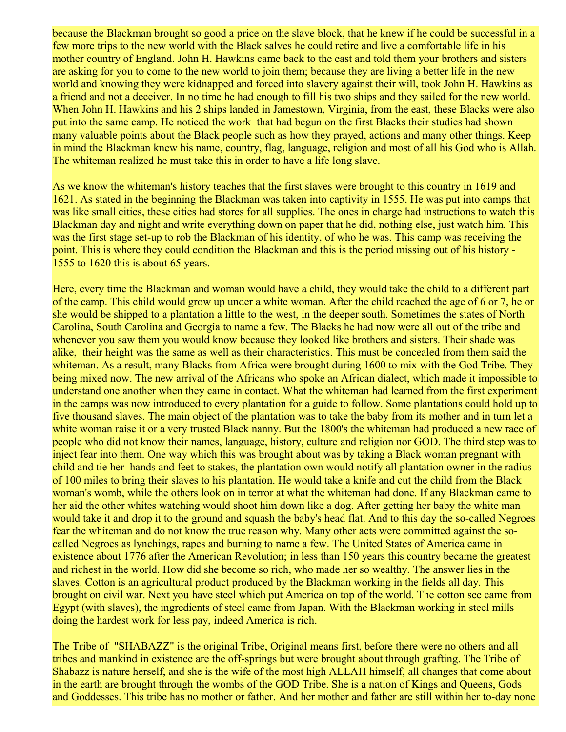because the Blackman brought so good a price on the slave block, that he knew if he could be successful in a few more trips to the new world with the Black salves he could retire and live a comfortable life in his mother country of England. John H. Hawkins came back to the east and told them your brothers and sisters are asking for you to come to the new world to join them; because they are living a better life in the new world and knowing they were kidnapped and forced into slavery against their will, took John H. Hawkins as a friend and not a deceiver. In no time he had enough to fill his two ships and they sailed for the new world. When John H. Hawkins and his 2 ships landed in Jamestown, Virginia, from the east, these Blacks were also put into the same camp. He noticed the work that had begun on the first Blacks their studies had shown many valuable points about the Black people such as how they prayed, actions and many other things. Keep in mind the Blackman knew his name, country, flag, language, religion and most of all his God who is Allah. The whiteman realized he must take this in order to have a life long slave.

As we know the whiteman's history teaches that the first slaves were brought to this country in 1619 and 1621. As stated in the beginning the Blackman was taken into captivity in 1555. He was put into camps that was like small cities, these cities had stores for all supplies. The ones in charge had instructions to watch this Blackman day and night and write everything down on paper that he did, nothing else, just watch him. This was the first stage set-up to rob the Blackman of his identity, of who he was. This camp was receiving the point. This is where they could condition the Blackman and this is the period missing out of his history - 1555 to 1620 this is about 65 years.

Here, every time the Blackman and woman would have a child, they would take the child to a different part of the camp. This child would grow up under a white woman. After the child reached the age of 6 or 7, he or she would be shipped to a plantation a little to the west, in the deeper south. Sometimes the states of North Carolina, South Carolina and Georgia to name a few. The Blacks he had now were all out of the tribe and whenever you saw them you would know because they looked like brothers and sisters. Their shade was alike, their height was the same as well as their characteristics. This must be concealed from them said the whiteman. As a result, many Blacks from Africa were brought during 1600 to mix with the God Tribe. They being mixed now. The new arrival of the Africans who spoke an African dialect, which made it impossible to understand one another when they came in contact. What the whiteman had learned from the first experiment in the camps was now introduced to every plantation for a guide to follow. Some plantations could hold up to five thousand slaves. The main object of the plantation was to take the baby from its mother and in turn let a white woman raise it or a very trusted Black nanny. But the 1800's the whiteman had produced a new race of people who did not know their names, language, history, culture and religion nor GOD. The third step was to inject fear into them. One way which this was brought about was by taking a Black woman pregnant with child and tie her hands and feet to stakes, the plantation own would notify all plantation owner in the radius of 100 miles to bring their slaves to his plantation. He would take a knife and cut the child from the Black woman's womb, while the others look on in terror at what the whiteman had done. If any Blackman came to her aid the other whites watching would shoot him down like a dog. After getting her baby the white man would take it and drop it to the ground and squash the baby's head flat. And to this day the so-called Negroes fear the whiteman and do not know the true reason why. Many other acts were committed against the socalled Negroes as lynchings, rapes and burning to name a few. The United States of America came in existence about 1776 after the American Revolution; in less than 150 years this country became the greatest and richest in the world. How did she become so rich, who made her so wealthy. The answer lies in the slaves. Cotton is an agricultural product produced by the Blackman working in the fields all day. This brought on civil war. Next you have steel which put America on top of the world. The cotton see came from Egypt (with slaves), the ingredients of steel came from Japan. With the Blackman working in steel mills doing the hardest work for less pay, indeed America is rich.

The Tribe of "SHABAZZ" is the original Tribe, Original means first, before there were no others and all tribes and mankind in existence are the off-springs but were brought about through grafting. The Tribe of Shabazz is nature herself, and she is the wife of the most high ALLAH himself, all changes that come about in the earth are brought through the wombs of the GOD Tribe. She is a nation of Kings and Queens, Gods and Goddesses. This tribe has no mother or father. And her mother and father are still within her to-day none